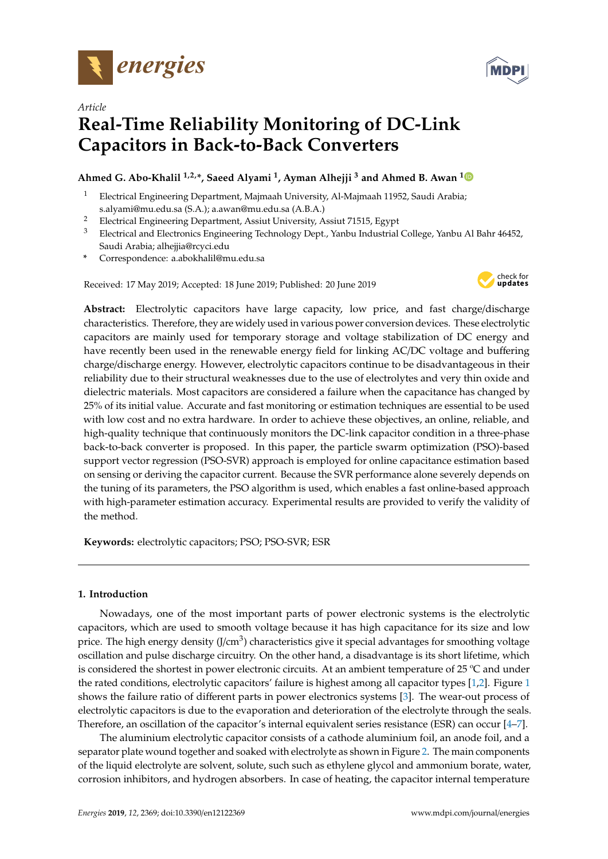



# *Article* **Real-Time Reliability Monitoring of DC-Link Capacitors in Back-to-Back Converters**

## **Ahmed G. Abo-Khalil 1,2,\*, Saeed Alyami <sup>1</sup> , Ayman Alhejji <sup>3</sup> and Ahmed B. Awan <sup>1</sup>**

- <sup>1</sup> Electrical Engineering Department, Majmaah University, Al-Majmaah 11952, Saudi Arabia; s.alyami@mu.edu.sa (S.A.); a.awan@mu.edu.sa (A.B.A.)
- <sup>2</sup> Electrical Engineering Department, Assiut University, Assiut 71515, Egypt
- <sup>3</sup> Electrical and Electronics Engineering Technology Dept., Yanbu Industrial College, Yanbu Al Bahr 46452, Saudi Arabia; alhejjia@rcyci.edu
- **\*** Correspondence: a.abokhalil@mu.edu.sa

Received: 17 May 2019; Accepted: 18 June 2019; Published: 20 June 2019



**Abstract:** Electrolytic capacitors have large capacity, low price, and fast charge/discharge characteristics. Therefore, they are widely used in various power conversion devices. These electrolytic capacitors are mainly used for temporary storage and voltage stabilization of DC energy and have recently been used in the renewable energy field for linking AC/DC voltage and buffering charge/discharge energy. However, electrolytic capacitors continue to be disadvantageous in their reliability due to their structural weaknesses due to the use of electrolytes and very thin oxide and dielectric materials. Most capacitors are considered a failure when the capacitance has changed by 25% of its initial value. Accurate and fast monitoring or estimation techniques are essential to be used with low cost and no extra hardware. In order to achieve these objectives, an online, reliable, and high-quality technique that continuously monitors the DC-link capacitor condition in a three-phase back-to-back converter is proposed. In this paper, the particle swarm optimization (PSO)-based support vector regression (PSO-SVR) approach is employed for online capacitance estimation based on sensing or deriving the capacitor current. Because the SVR performance alone severely depends on the tuning of its parameters, the PSO algorithm is used, which enables a fast online-based approach with high-parameter estimation accuracy. Experimental results are provided to verify the validity of the method.

**Keywords:** electrolytic capacitors; PSO; PSO-SVR; ESR

## **1. Introduction**

Nowadays, one of the most important parts of power electronic systems is the electrolytic capacitors, which are used to smooth voltage because it has high capacitance for its size and low price. The high energy density (J/cm $^3$ ) characteristics give it special advantages for smoothing voltage oscillation and pulse discharge circuitry. On the other hand, a disadvantage is its short lifetime, which is considered the shortest in power electronic circuits. At an ambient temperature of 25 ºC and under the rated conditions, electrolytic capacitors' failure is highest among all capacitor types [1,2]. Figure 1 shows the failure ratio of different parts in power electronics systems [3]. The wear-out process of electrolytic capacitors is due to the evaporation and deterioration of the electrolyte through the seals. Therefore, an oscillation of the capacitor's internal equivalent series resistance (ESR) can occur [4–7].

The aluminium electrolytic capacitor consists of a cathode aluminium foil, an anode foil, and a separator plate wound together and soaked with electrolyte as shown in Figure 2. The main components of the liquid electrolyte are solvent, solute, such such as ethylene glycol and ammonium borate, water, corrosion inhibitors, and hydrogen absorbers. In case of heating, the capacitor internal temperature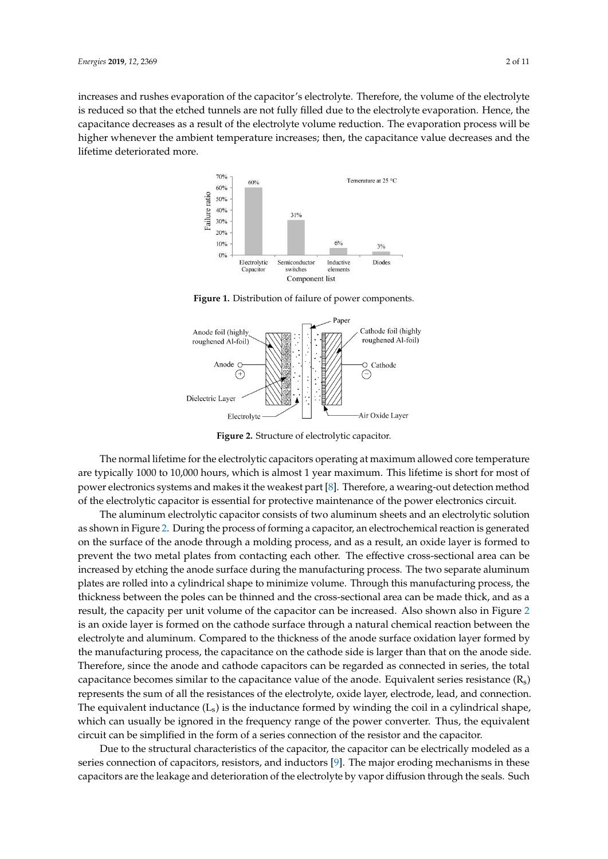increases and rushes evaporation of the capacitor's electrolyte. Therefore, the volume of the electrolyte is reduced so that the etched tunnels are not fully filled due to the electrolyte evaporation. Hence, the capacitance decreases as a result of the electrolyte volume reduction. The evaporation process will be higher whenever the ambient temperature increases; then, the capacitance value decreases and the lifetime deteriorated more.



**Figure 1.** Distribution of failure of power components.



**Figure 2.** Structure of electrolytic capacitor.

The normal lifetime for the electrolytic capacitors operating at maximum allowed core temperature are typically 1000 to 10,000 hours, which is almost 1 year maximum. This lifetime is short for most of power electronics systems and makes it the weakest part [8]. Therefore, a wearing-out detection method of the electrolytic capacitor is essential for protective maintenance of the power electronics circuit.

The aluminum electrolytic capacitor consists of two aluminum sheets and an electrolytic solution as shown in Figure 2. During the process of forming a capacitor, an electrochemical reaction is generated on the surface of the anode through a molding process, and as a result, an oxide layer is formed to prevent the two metal plates from contacting each other. The effective cross-sectional area can be increased by etching the anode surface during the manufacturing process. The two separate aluminum plates are rolled into a cylindrical shape to minimize volume. Through this manufacturing process, the thickness between the poles can be thinned and the cross-sectional area can be made thick, and as a result, the capacity per unit volume of the capacitor can be increased. Also shown also in Figure 2 is an oxide layer is formed on the cathode surface through a natural chemical reaction between the electrolyte and aluminum. Compared to the thickness of the anode surface oxidation layer formed by the manufacturing process, the capacitance on the cathode side is larger than that on the anode side. Therefore, since the anode and cathode capacitors can be regarded as connected in series, the total capacitance becomes similar to the capacitance value of the anode. Equivalent series resistance  $(R_s)$ represents the sum of all the resistances of the electrolyte, oxide layer, electrode, lead, and connection. The equivalent inductance  $(L_s)$  is the inductance formed by winding the coil in a cylindrical shape, which can usually be ignored in the frequency range of the power converter. Thus, the equivalent circuit can be simplified in the form of a series connection of the resistor and the capacitor.

Due to the structural characteristics of the capacitor, the capacitor can be electrically modeled as a series connection of capacitors, resistors, and inductors [9]. The major eroding mechanisms in these capacitors are the leakage and deterioration of the electrolyte by vapor diffusion through the seals. Such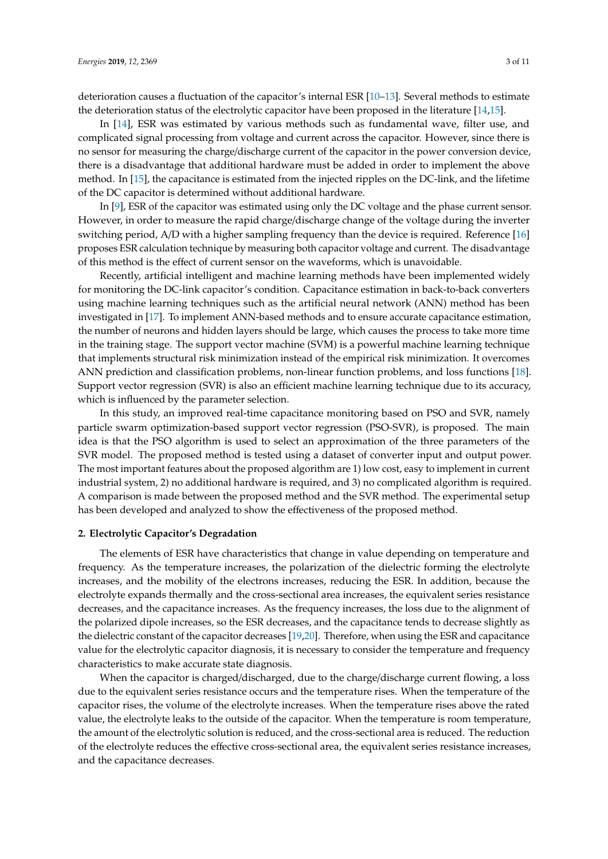deterioration causes a fluctuation of the capacitor's internal ESR [10–13]. Several methods to estimate the deterioration status of the electrolytic capacitor have been proposed in the literature [14,15].

In [14], ESR was estimated by various methods such as fundamental wave, filter use, and complicated signal processing from voltage and current across the capacitor. However, since there is no sensor for measuring the charge/discharge current of the capacitor in the power conversion device, there is a disadvantage that additional hardware must be added in order to implement the above method. In [15], the capacitance is estimated from the injected ripples on the DC-link, and the lifetime of the DC capacitor is determined without additional hardware.

In [9], ESR of the capacitor was estimated using only the DC voltage and the phase current sensor. However, in order to measure the rapid charge/discharge change of the voltage during the inverter switching period, A/D with a higher sampling frequency than the device is required. Reference [16] proposes ESR calculation technique by measuring both capacitor voltage and current. The disadvantage of this method is the effect of current sensor on the waveforms, which is unavoidable.

Recently, artificial intelligent and machine learning methods have been implemented widely for monitoring the DC-link capacitor's condition. Capacitance estimation in back-to-back converters using machine learning techniques such as the artificial neural network (ANN) method has been investigated in [17]. To implement ANN-based methods and to ensure accurate capacitance estimation, the number of neurons and hidden layers should be large, which causes the process to take more time in the training stage. The support vector machine (SVM) is a powerful machine learning technique that implements structural risk minimization instead of the empirical risk minimization. It overcomes ANN prediction and classification problems, non-linear function problems, and loss functions [18]. Support vector regression (SVR) is also an efficient machine learning technique due to its accuracy, which is influenced by the parameter selection.

In this study, an improved real-time capacitance monitoring based on PSO and SVR, namely particle swarm optimization-based support vector regression (PSO-SVR), is proposed. The main idea is that the PSO algorithm is used to select an approximation of the three parameters of the SVR model. The proposed method is tested using a dataset of converter input and output power. The most important features about the proposed algorithm are 1) low cost, easy to implement in current industrial system, 2) no additional hardware is required, and 3) no complicated algorithm is required. A comparison is made between the proposed method and the SVR method. The experimental setup has been developed and analyzed to show the effectiveness of the proposed method.

#### **2. Electrolytic Capacitor's Degradation**

The elements of ESR have characteristics that change in value depending on temperature and frequency. As the temperature increases, the polarization of the dielectric forming the electrolyte increases, and the mobility of the electrons increases, reducing the ESR. In addition, because the electrolyte expands thermally and the cross-sectional area increases, the equivalent series resistance decreases, and the capacitance increases. As the frequency increases, the loss due to the alignment of the polarized dipole increases, so the ESR decreases, and the capacitance tends to decrease slightly as the dielectric constant of the capacitor decreases [19,20]. Therefore, when using the ESR and capacitance value for the electrolytic capacitor diagnosis, it is necessary to consider the temperature and frequency characteristics to make accurate state diagnosis.

When the capacitor is charged/discharged, due to the charge/discharge current flowing, a loss due to the equivalent series resistance occurs and the temperature rises. When the temperature of the capacitor rises, the volume of the electrolyte increases. When the temperature rises above the rated value, the electrolyte leaks to the outside of the capacitor. When the temperature is room temperature, the amount of the electrolytic solution is reduced, and the cross-sectional area is reduced. The reduction of the electrolyte reduces the effective cross-sectional area, the equivalent series resistance increases, and the capacitance decreases.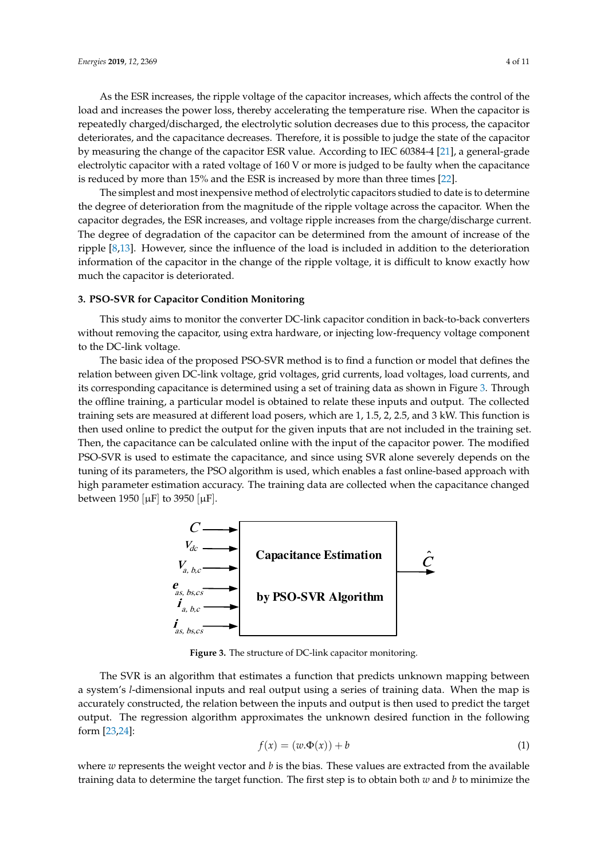As the ESR increases, the ripple voltage of the capacitor increases, which affects the control of the load and increases the power loss, thereby accelerating the temperature rise. When the capacitor is repeatedly charged/discharged, the electrolytic solution decreases due to this process, the capacitor deteriorates, and the capacitance decreases. Therefore, it is possible to judge the state of the capacitor by measuring the change of the capacitor ESR value. According to IEC 60384-4 [21], a general-grade electrolytic capacitor with a rated voltage of 160 V or more is judged to be faulty when the capacitance is reduced by more than 15% and the ESR is increased by more than three times [22].

The simplest and most inexpensive method of electrolytic capacitors studied to date is to determine the degree of deterioration from the magnitude of the ripple voltage across the capacitor. When the capacitor degrades, the ESR increases, and voltage ripple increases from the charge/discharge current. The degree of degradation of the capacitor can be determined from the amount of increase of the ripple [8,13]. However, since the influence of the load is included in addition to the deterioration information of the capacitor in the change of the ripple voltage, it is difficult to know exactly how much the capacitor is deteriorated.

### **3. PSO-SVR for Capacitor Condition Monitoring**

This study aims to monitor the converter DC-link capacitor condition in back-to-back converters without removing the capacitor, using extra hardware, or injecting low-frequency voltage component to the DC-link voltage.

The basic idea of the proposed PSO-SVR method is to find a function or model that defines the relation between given DC-link voltage, grid voltages, grid currents, load voltages, load currents, and its corresponding capacitance is determined using a set of training data as shown in Figure 3. Through the offline training, a particular model is obtained to relate these inputs and output. The collected training sets are measured at different load posers, which are 1, 1.5, 2, 2.5, and 3 kW. This function is then used online to predict the output for the given inputs that are not included in the training set. Then, the capacitance can be calculated online with the input of the capacitor power. The modified PSO-SVR is used to estimate the capacitance, and since using SVR alone severely depends on the tuning of its parameters, the PSO algorithm is used, which enables a fast online-based approach with high parameter estimation accuracy. The training data are collected when the capacitance changed between 1950  $[\mu$ F to 3950  $[\mu$ F l.



**Figure 3.** The structure of DC-link capacitor monitoring.

system's a system's *l*-dimensional inputs and real output using a series of training data. When the map is The SVR is an algorithm that estimates a function that predicts unknown mapping between accurately constructed, the relation between the inputs and output is then used to predict the target output. The regression algorithm approximates the unknown desired function in the following form [23,24]:

$$
f(x) = (w.\Phi(x)) + b \tag{1}
$$

where *w* represents the weight vector and *b* is the bias. These values are extracted from the available training data to determine the target function. The first step is to obtain both *w* and *b* to minimize the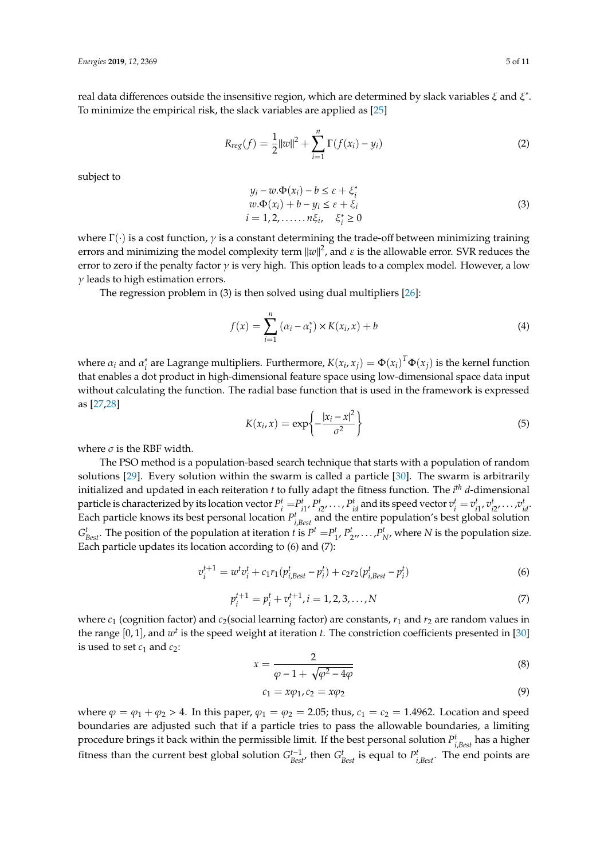real data differences outside the insensitive region, which are determined by slack variables  $\xi$  and  $\xi^*$ . To minimize the empirical risk, the slack variables are applied as [25]

$$
R_{reg}(f) = \frac{1}{2} ||w||^2 + \sum_{i=1}^{n} \Gamma(f(x_i) - y_i)
$$
 (2)

subject to

$$
y_i - w.\Phi(x_i) - b \le \varepsilon + \xi_i^*
$$
  
\n
$$
w.\Phi(x_i) + b - y_i \le \varepsilon + \xi_i
$$
  
\n
$$
i = 1, 2, \dots, n\xi_i, \quad \xi_i^* \ge 0
$$
\n(3)

where  $\Gamma(\cdot)$  is a cost function,  $\gamma$  is a constant determining the trade-off between minimizing training errors and minimizing the model complexity term  $||w||^2$ , and  $\varepsilon$  is the allowable error. SVR reduces the error to zero if the penalty factor  $\gamma$  is very high. This option leads to a complex model. However, a low  $\gamma$  leads to high estimation errors.

The regression problem in (3) is then solved using dual multipliers [26]:

$$
f(x) = \sum_{i=1}^{n} (\alpha_i - \alpha_i^*) \times K(x_i, x) + b
$$
 (4)

where  $\alpha_i$  and  $\alpha_i^*$ <sup>\*</sup><sub>*i*</sub> are Lagrange multipliers. Furthermore,  $K(x_i, x_j) = \Phi(x_i)^T \Phi(x_j)$  is the kernel function that enables a dot product in high-dimensional feature space using low-dimensional space data input without calculating the function. The radial base function that is used in the framework is expressed as [27,28]

$$
K(x_i, x) = \exp\left\{-\frac{|x_i - x|^2}{\sigma^2}\right\}
$$
\n(5)

where  $\sigma$  is the RBF width.

The PSO method is a population-based search technique that starts with a population of random solutions [29]. Every solution within the swarm is called a particle [30]. The swarm is arbitrarily initialized and updated in each reiteration *t* to fully adapt the fitness function. The *i th d*-dimensional particle is characterized by its location vector  $P_i^t = P_{i1}^t$ ,  $P_{i2}^t$ , ...,  $P_{id}^t$  and its speed vector  $v_i^t = v_{i1}^t$ ,  $v_{i2}^t$ , ...,  $v_{id}^t$ . Each particle knows its best personal location  $P_{i,Best}^t$  and the entire population's best global solution  $G_{Best}^t$ . The position of the population at iteration t is  $P^t = P_{1}^t, P_{2}^t, \ldots, P_{N}^t$ , where N is the population size. Each particle updates its location according to (6) and (7):

$$
v_i^{t+1} = w^t v_i^t + c_1 r_1 (p_{i,Best}^t - p_i^t) + c_2 r_2 (p_{i, Best}^t - p_i^t)
$$
\n(6)

$$
p_i^{t+1} = p_i^t + v_i^{t+1}, i = 1, 2, 3, ..., N
$$
\n(7)

where  $c_1$  (cognition factor) and  $c_2$ (social learning factor) are constants,  $r_1$  and  $r_2$  are random values in the range  $[0, 1]$ , and  $w<sup>t</sup>$  is the speed weight at iteration *t*. The constriction coefficients presented in  $[30]$ is used to set  $c_1$  and  $c_2$ :

$$
x = \frac{2}{\varphi - 1 + \sqrt{\varphi^2 - 4\varphi}}\tag{8}
$$

$$
c_1 = x\varphi_1, c_2 = x\varphi_2 \tag{9}
$$

where  $\varphi = \varphi_1 + \varphi_2 > 4$ . In this paper,  $\varphi_1 = \varphi_2 = 2.05$ ; thus,  $c_1 = c_2 = 1.4962$ . Location and speed boundaries are adjusted such that if a particle tries to pass the allowable boundaries, a limiting procedure brings it back within the permissible limit. If the best personal solution *P t <sup>i</sup>*,*Best* has a higher fitness than the current best global solution  $G_{Best}^{t-1}$ , then  $G_{Best}^t$  is equal to  $P_{i, Best}^t$ . The end points are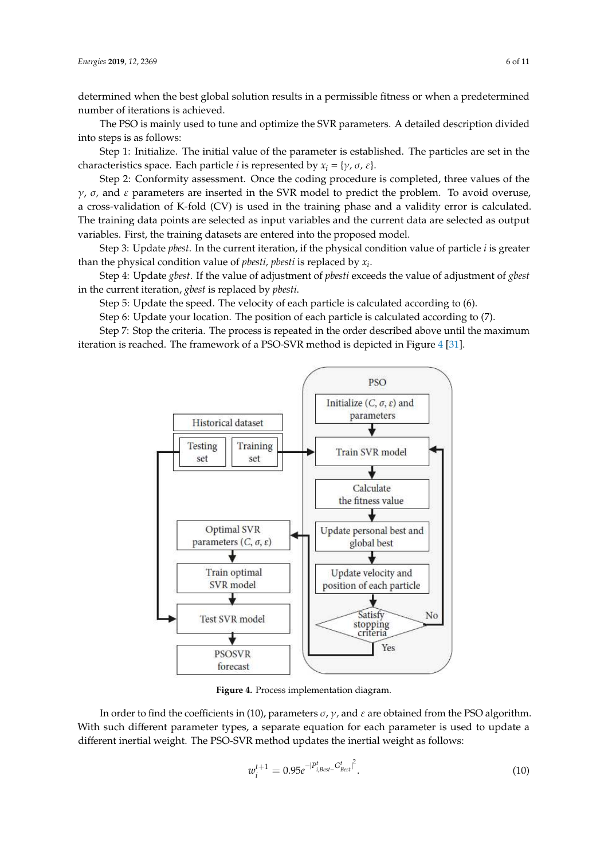determined when the best global solution results in a permissible fitness or when a predetermined number of iterations is achieved.

The PSO is mainly used to tune and optimize the SVR parameters. A detailed description divided into steps is as follows:

**Step 1:** Initialize. The initial value of the parameter is established. The particles are set in the characteristics space. Each particle *i* is represented by  $x_i = \{ \gamma, \sigma, \varepsilon \}.$ 

Step 2: Conformity assessment. Once the coding procedure is completed, three values of the  $\gamma$ ,  $\sigma$ , and  $\varepsilon$  parameters are inserted in the SVR model to predict the problem. To avoid overuse, a cross-validation of K-fold (CV) is used in the training phase and a validity error is calculated. The training data points are selected as input variables and the current data are selected as output variables. First, the training datasets are entered into the proposed model.

Step 3: Update *pbest*. In the current iteration, if the physical condition value of particle *i* is greater than the physical condition value of *pbesti, pbesti* is replaced by *x<sup>i</sup>* .

Step 4: Update *gbest*. If the value of adjustment of *pbesti* exceeds the value of adjustment of *gbest* in the current iteration, *gbest* is replaced by *pbesti*.

Step 5: Update the speed. The velocity of each particle is calculated according to (6).

Step 6: Update your location. The position of each particle is calculated according to (7).

Step 7: Stop the criteria. The process is repeated in the order described above until the maximum iteration is reached. The framework of a PSO-SVR method is depicted in Figure 4 [31].



**Figure 4.** Process implementation diagram.

In order to find the coefficients in (10), parameters  $\sigma$ ,  $\gamma$ , and  $\varepsilon$  are obtained from the PSO algorithm. With such different parameter types, a separate equation for each parameter is used to update a different inertial weight. The PSO-SVR method updates the inertial weight as follows:

$$
w_i^{t+1} = 0.95e^{-|P_{i,Best}^t - G_{Best}^t|^2}.
$$
\n(10)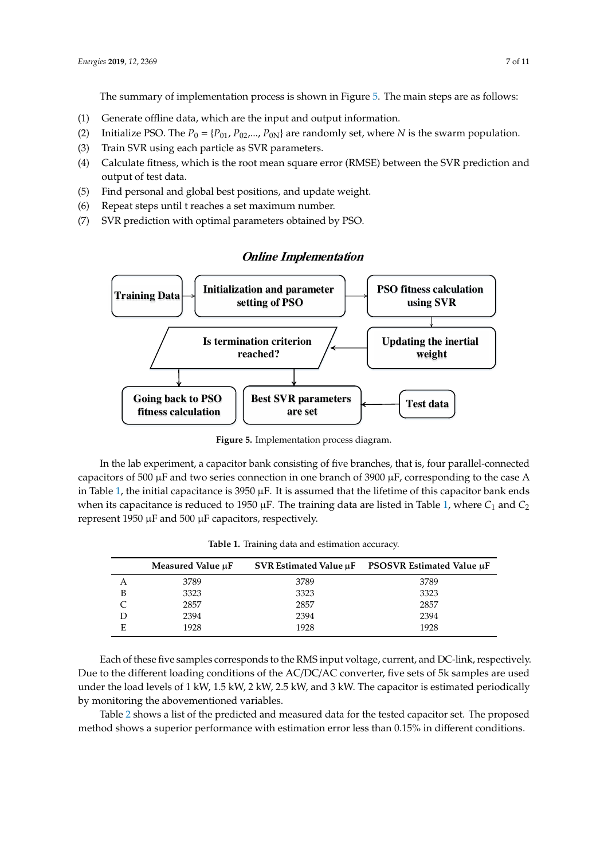The summary of implementation process is shown in Figure 5. The main steps are as follows:

- (1) Generate offline data, which are the input and output information.
- (2) Initialize PSO. The  $P_0 = \{P_{01}, P_{02}, \ldots, P_{0N}\}\$  are randomly set, where *N* is the swarm population.
- (3) Train SVR using each particle as SVR parameters.
- (4) Calculate fitness, which is the root mean square error (RMSE) between the SVR prediction and output of test data.
- (5) Find personal and global best positions, and update weight.
- (6) Repeat steps until t reaches a set maximum number.
- (7) SVR prediction with optimal parameters obtained by PSO.



## **Online Implementation**

**Figure 5.** Implementation process diagram.

in Table 1, the initial capacitance is  $3950 \mu$ F. It is assumed that the lifetime of this capacitor bank ends *F* when its capacitance is reduced to 1950 µF. The training data are listed in Table 1, where *C*<sup>1</sup> and *C*<sup>2</sup> In the lab experiment, a capacitor bank consisting of five branches, that is, four parallel-connected capacitors of 500 µF and two series connection in one branch of 3900 µF, corresponding to the case A represent 1950 µF and 500 µF capacitors, respectively.

| Measured Value µF | SVR Estimated Value µF | PSOSVR Estimated Value µF |
|-------------------|------------------------|---------------------------|
| 3789              | 3789                   | 3789                      |
| 3323              | 3323                   | 3323                      |
| 2857              | 2857                   | 2857                      |
| 2394              | 2394                   | 2394                      |
|                   |                        |                           |

E 1928 1928 1928

**Table 1.** Training data and estimation accuracy.

*F* Each of these five samples corresponds to the RMS input voltage, current, and DC-link, respectively. Due to the different loading conditions of the AC/DC/AC converter, five sets of 5k samples are used under the load levels of 1 kW, 1.5 kW, 2 kW, 2.5 kW, and 3 kW. The capacitor is estimated periodically by monitoring the abovementioned variables.

Table 2 shows a list of the predicted and measured data for the tested capacitor set. The proposed method shows a superior performance with estimation error less than 0.15% in different conditions.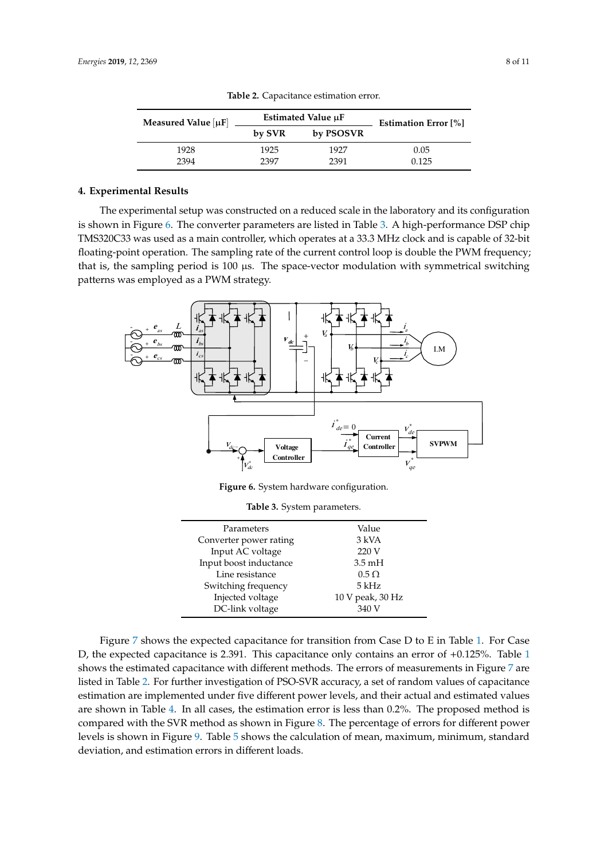| Measured Value $ \mu F $ |        | Estimated Value µF | <b>Estimation Error</b> [%] |  |
|--------------------------|--------|--------------------|-----------------------------|--|
|                          | by SVR | by PSOSVR          |                             |  |
| 1928                     | 1925   | 1927               | 0.05                        |  |
| 2394                     | 2397   | 2391               | 0.125                       |  |

**Table 2.** Capacitance estimation error.

#### **4. Experimental Results**

The experimental setup was constructed on a reduced scale in the laboratory and its configuration is shown in Figure 6. The converter parameters are listed in Table 3. A high-performance DSP chip TMS320C33 was used as a main controller, which operates at a 33.3 MHz clock and is capable of 32-bit floating-point operation. The sampling rate of the current control loop is double the PWM frequency; that is, the sampling period is  $100 \mu s$ . The space-vector modulation with symmetrical switching patterns was employed as a PWM strategy.



**Figure 6.** System hardware configuration.

**Table 3.** System parameters.

| Parameters             | Value            |
|------------------------|------------------|
| Converter power rating | 3 kVA            |
| Input AC voltage       | 220 V            |
| Input boost inductance | $3.5 \text{ mH}$ |
| Line resistance        | $0.5 \Omega$     |
| Switching frequency    | $5$ kHz          |
| Injected voltage       | 10 V peak, 30 Hz |
| DC-link voltage        | 340 V            |

Figure 7 shows the expected capacitance for transition from Case D to E in Table 1. For Case D, the expected capacitance is 2.391. This capacitance only contains an error of +0.125%. Table 1 shows the estimated capacitance with different methods. The errors of measurements in Figure 7 are listed in Table 2. For further investigation of PSO-SVR accuracy, a set of random values of capacitance estimation are implemented under five different power levels, and their actual and estimated values are shown in Table 4. In all cases, the estimation error is less than 0.2%. The proposed method is compared with the SVR method as shown in Figure 8. The percentage of errors for different power levels is shown in Figure 9. Table 5 shows the calculation of mean, maximum, minimum, standard deviation, and estimation errors in different loads.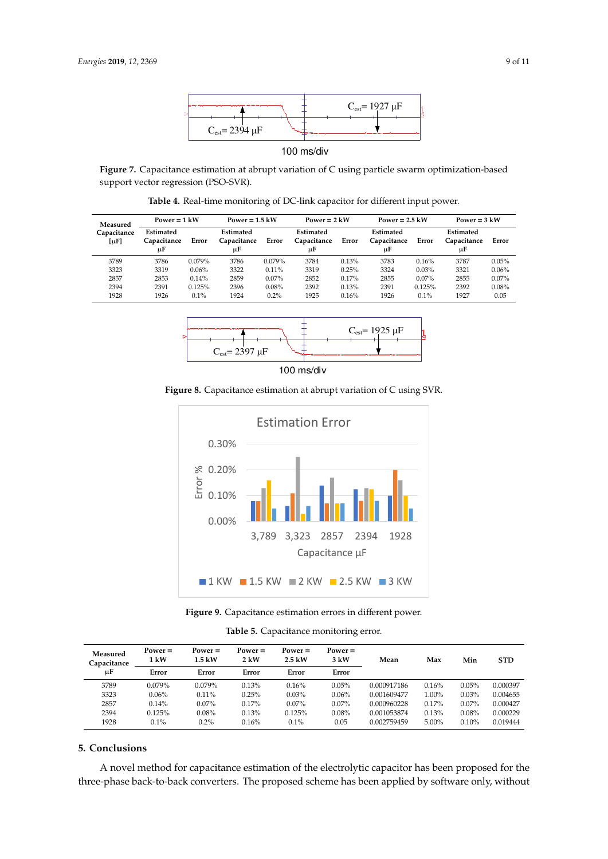

#### 100 ms/div

**Figure 7.** Capacitance estimation at abrupt variation of C using particle swarm optimization-based support vector regression (PSO-SVR).

**Table 4.** Real-time monitoring of DC-link capacitor for different input power. μ μ

| Measured<br>Capacitance<br>[µF] | Power = $1 \text{ kW}$         |         | Power = $1.5$ kW               |          | Power = $2$ kW                 |       | Power = $2.5 \text{ kW}$       |          | Power = $3 \text{ kW}$         |          |
|---------------------------------|--------------------------------|---------|--------------------------------|----------|--------------------------------|-------|--------------------------------|----------|--------------------------------|----------|
|                                 | Estimated<br>Capacitance<br>цF | Error   | Estimated<br>Capacitance<br>иF | Error    | Estimated<br>Capacitance<br>цF | Error | Estimated<br>Capacitance<br>uF | Error    | Estimated<br>Capacitance<br>иF | Error    |
| 3789                            | 3786                           | 0.079%  | 3786                           | 0.079%   | 3784                           | 0.13% | 3783                           | 0.16%    | 3787                           | 0.05%    |
| 3323                            | 3319                           | 0.06%   | 3322                           | $0.11\%$ | 3319                           | 0.25% | 3324                           | 0.03%    | 3321                           | 0.06%    |
| 2857                            | 2853                           | 0.14%   | 2859                           | $0.07\%$ | 2852                           | 0.17% | 2855                           | $0.07\%$ | 2855                           | $0.07\%$ |
| 2394                            | 2391                           | 0.125%  | 2396                           | 0.08%    | 2392                           | 0.13% | 2391                           | 0.125%   | 2392                           | 0.08%    |
| 1928                            | 1926                           | $0.1\%$ | 1924                           | 0.2%     | 1925                           | 0.16% | 1926                           | $0.1\%$  | 1927                           | 0.05     |



100 ms/div

**Figure 8.** Capacitance estimation at abrupt variation of C using SVR.



**Figure 9.** Capacitance estimation errors in different power.

**Table 5.** Capacitance monitoring error.

| Measured<br>Capacitance | $Power =$<br>1 kW | $Power =$<br>$1.5 \text{ kW}$ | $Power =$<br>$2 \text{ kW}$ | Power $=$<br>$2.5 \text{ kW}$ | $Power =$<br>$3 \text{ kW}$ | Mean        | Max      | Min      | <b>STD</b> |
|-------------------------|-------------------|-------------------------------|-----------------------------|-------------------------------|-----------------------------|-------------|----------|----------|------------|
| цF                      | Error             | Error                         | Error                       | Error                         | Error                       |             |          |          |            |
| 3789                    | 0.079%            | 0.079%                        | 0.13%                       | 0.16%                         | 0.05%                       | 0.000917186 | 0.16%    | 0.05%    | 0.000397   |
| 3323                    | 0.06%             | 0.11%                         | 0.25%                       | 0.03%                         | 0.06%                       | 0.001609477 | $1.00\%$ | 0.03%    | 0.004655   |
| 2857                    | 0.14%             | $0.07\%$                      | 0.17%                       | $0.07\%$                      | $0.07\%$                    | 0.000960228 | 0.17%    | $0.07\%$ | 0.000427   |
| 2394                    | 0.125%            | 0.08%                         | 0.13%                       | 0.125%                        | 0.08%                       | 0.001053874 | 0.13%    | 0.08%    | 0.000229   |
| 1928                    | 0.1%              | 0.2%                          | 0.16%                       | 0.1%                          | 0.05                        | 0.002759459 | $5.00\%$ | 0.10%    | 0.019444   |

## **5. Conclusions**

A novel method for capacitance estimation of the electrolytic capacitor has been proposed for the three-phase back-to-back converters. The proposed scheme has been applied by software only, without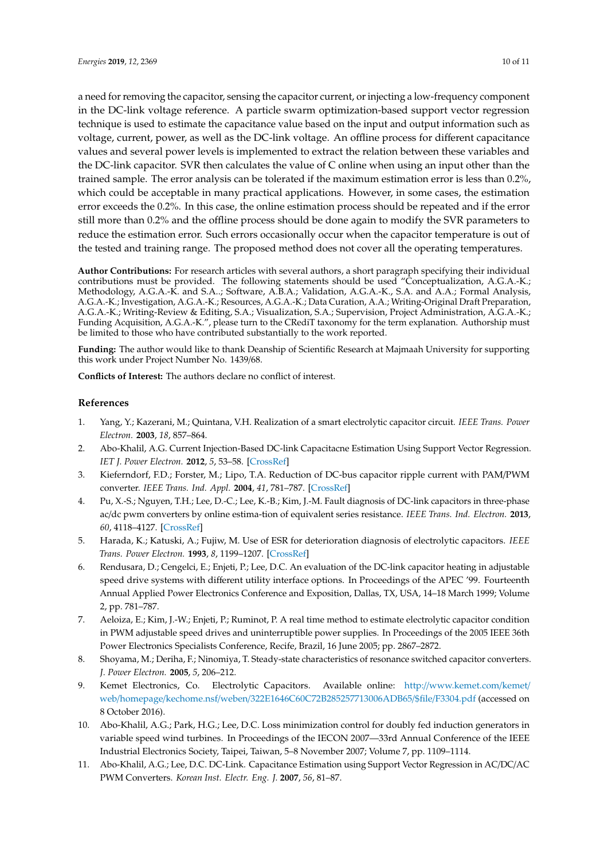a need for removing the capacitor, sensing the capacitor current, or injecting a low-frequency component in the DC-link voltage reference. A particle swarm optimization-based support vector regression technique is used to estimate the capacitance value based on the input and output information such as voltage, current, power, as well as the DC-link voltage. An offline process for different capacitance values and several power levels is implemented to extract the relation between these variables and the DC-link capacitor. SVR then calculates the value of C online when using an input other than the trained sample. The error analysis can be tolerated if the maximum estimation error is less than 0.2%, which could be acceptable in many practical applications. However, in some cases, the estimation error exceeds the 0.2%. In this case, the online estimation process should be repeated and if the error still more than 0.2% and the offline process should be done again to modify the SVR parameters to reduce the estimation error. Such errors occasionally occur when the capacitor temperature is out of the tested and training range. The proposed method does not cover all the operating temperatures.

**Author Contributions:** For research articles with several authors, a short paragraph specifying their individual contributions must be provided. The following statements should be used "Conceptualization, A.G.A.-K.; Methodology, A.G.A.-K. and S.A..; Software, A.B.A.; Validation, A.G.A.-K., S.A. and A.A.; Formal Analysis, A.G.A.-K.; Investigation, A.G.A.-K.; Resources, A.G.A.-K.; Data Curation, A.A.; Writing-Original Draft Preparation, A.G.A.-K.; Writing-Review & Editing, S.A.; Visualization, S.A.; Supervision, Project Administration, A.G.A.-K.; Funding Acquisition, A.G.A.-K.", please turn to the CRediT taxonomy for the term explanation. Authorship must be limited to those who have contributed substantially to the work reported.

**Funding:** The author would like to thank Deanship of Scientific Research at Majmaah University for supporting this work under Project Number No. 1439/68.

**Conflicts of Interest:** The authors declare no conflict of interest.

#### **References**

- 1. Yang, Y.; Kazerani, M.; Quintana, V.H. Realization of a smart electrolytic capacitor circuit. *IEEE Trans. Power Electron.* **2003**, *18*, 857–864.
- 2. Abo-Khalil, A.G. Current Injection-Based DC-link Capacitacne Estimation Using Support Vector Regression. *IET J. Power Electron.* **2012**, *5*, 53–58. [CrossRef]
- 3. Kieferndorf, F.D.; Forster, M.; Lipo, T.A. Reduction of DC-bus capacitor ripple current with PAM/PWM converter. *IEEE Trans. Ind. Appl.* **2004**, *41*, 781–787. [CrossRef]
- 4. Pu, X.-S.; Nguyen, T.H.; Lee, D.-C.; Lee, K.-B.; Kim, J.-M. Fault diagnosis of DC-link capacitors in three-phase ac/dc pwm converters by online estima-tion of equivalent series resistance. *IEEE Trans. Ind. Electron.* **2013**, *60*, 4118–4127. [CrossRef]
- 5. Harada, K.; Katuski, A.; Fujiw, M. Use of ESR for deterioration diagnosis of electrolytic capacitors. *IEEE Trans. Power Electron.* **1993**, *8*, 1199–1207. [CrossRef]
- 6. Rendusara, D.; Cengelci, E.; Enjeti, P.; Lee, D.C. An evaluation of the DC-link capacitor heating in adjustable speed drive systems with different utility interface options. In Proceedings of the APEC '99. Fourteenth Annual Applied Power Electronics Conference and Exposition, Dallas, TX, USA, 14–18 March 1999; Volume 2, pp. 781–787.
- 7. Aeloiza, E.; Kim, J.-W.; Enjeti, P.; Ruminot, P. A real time method to estimate electrolytic capacitor condition in PWM adjustable speed drives and uninterruptible power supplies. In Proceedings of the 2005 IEEE 36th Power Electronics Specialists Conference, Recife, Brazil, 16 June 2005; pp. 2867–2872.
- 8. Shoyama, M.; Deriha, F.; Ninomiya, T. Steady-state characteristics of resonance switched capacitor converters. *J. Power Electron.* **2005**, *5*, 206–212.
- 9. Kemet Electronics, Co. Electrolytic Capacitors. Available online: http://www.kemet.com/kemet/ web/homepage/kechome.nsf/weben/322E1646C60C72B285257713006ADB65/\$file/F3304.pdf (accessed on 8 October 2016).
- 10. Abo-Khalil, A.G.; Park, H.G.; Lee, D.C. Loss minimization control for doubly fed induction generators in variable speed wind turbines. In Proceedings of the IECON 2007—33rd Annual Conference of the IEEE Industrial Electronics Society, Taipei, Taiwan, 5–8 November 2007; Volume 7, pp. 1109–1114.
- 11. Abo-Khalil, A.G.; Lee, D.C. DC-Link. Capacitance Estimation using Support Vector Regression in AC/DC/AC PWM Converters. *Korean Inst. Electr. Eng. J.* **2007**, *56*, 81–87.